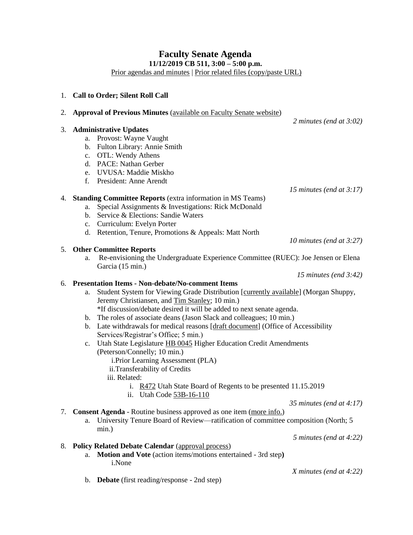## **Faculty Senate Agenda 11/12/2019 CB 511, 3:00 – 5:00 p.m.**

[Prior agendas and minutes](https://www.uvu.edu/facsenate/minutes.html) | [Prior related files \(copy/paste URL\)](https://drive.google.com/drive/folders/1Ok1EEKR4nqPNa_8uRWsFnCddv-v-buNh?usp=sharing)

|    | 1. Call to Order; Silent Roll Call                                                        |  |  |  |
|----|-------------------------------------------------------------------------------------------|--|--|--|
| 2. | <b>Approval of Previous Minutes (available on Faculty Senate website)</b>                 |  |  |  |
|    | 2 minutes (end at $3:02$ )                                                                |  |  |  |
| 3. | <b>Administrative Updates</b>                                                             |  |  |  |
|    | a. Provost: Wayne Vaught                                                                  |  |  |  |
|    | b. Fulton Library: Annie Smith                                                            |  |  |  |
|    | c. OTL: Wendy Athens                                                                      |  |  |  |
|    | d. PACE: Nathan Gerber                                                                    |  |  |  |
|    | e. UVUSA: Maddie Miskho                                                                   |  |  |  |
|    | f. President: Anne Arendt                                                                 |  |  |  |
|    | 15 minutes (end at $3:17$ )                                                               |  |  |  |
|    | 4. Standing Committee Reports (extra information in MS Teams)                             |  |  |  |
|    | Special Assignments & Investigations: Rick McDonald<br>a.                                 |  |  |  |
|    | b. Service & Elections: Sandie Waters                                                     |  |  |  |
|    | c. Curriculum: Evelyn Porter                                                              |  |  |  |
|    | d. Retention, Tenure, Promotions & Appeals: Matt North                                    |  |  |  |
|    | 10 minutes (end at $3:27$ )                                                               |  |  |  |
|    | 5. Other Committee Reports                                                                |  |  |  |
|    | Re-envisioning the Undergraduate Experience Committee (RUEC): Joe Jensen or Elena<br>a.   |  |  |  |
|    | Garcia (15 min.)                                                                          |  |  |  |
|    | 15 minutes (end $3:42$ )                                                                  |  |  |  |
|    | 6. Presentation Items - Non-debate/No-comment Items                                       |  |  |  |
|    | Student System for Viewing Grade Distribution [currently available] (Morgan Shuppy,<br>a. |  |  |  |
|    | Jeremy Christiansen, and Tim Stanley; 10 min.)                                            |  |  |  |
|    | *If discussion/debate desired it will be added to next senate agenda.                     |  |  |  |
|    | The roles of associate deans (Jason Slack and colleagues; 10 min.)<br>$\mathbf{b}$ .      |  |  |  |
|    | b. Late withdrawals for medical reasons [draft document] (Office of Accessibility         |  |  |  |
|    | Services/Registrar's Office; 5 min.)                                                      |  |  |  |
|    | Utah State Legislature HB 0045 Higher Education Credit Amendments<br>c.                   |  |  |  |
|    | (Peterson/Connelly; 10 min.)                                                              |  |  |  |
|    | i.Prior Learning Assessment (PLA)                                                         |  |  |  |
|    | ii.Transferability of Credits                                                             |  |  |  |
|    | iii. Related:                                                                             |  |  |  |
|    | i. R472 Utah State Board of Regents to be presented 11.15.2019                            |  |  |  |
|    | ii. Utah Code 53B-16-110                                                                  |  |  |  |
|    | 35 minutes (end at $4:17$ )                                                               |  |  |  |
|    | 7. Consent Agenda - Routine business approved as one item (more info.)                    |  |  |  |

### a. University Tenure Board of Review—ratification of committee composition (North; 5 min.)

*5 minutes (end at 4:22)*

# 8. **Policy Related Debate Calendar** [\(approval process\)](https://docs.google.com/document/d/1ZOLYSxHipmTESGs_uLr9d3ADuIhBDmTRmtH0qj7-u4Q/edit?usp=sharing)

- a. **Motion and Vote** (action items/motions entertained 3rd step**)** i.None
- b. **Debate** (first reading/response 2nd step)

*X minutes (end at 4:22)*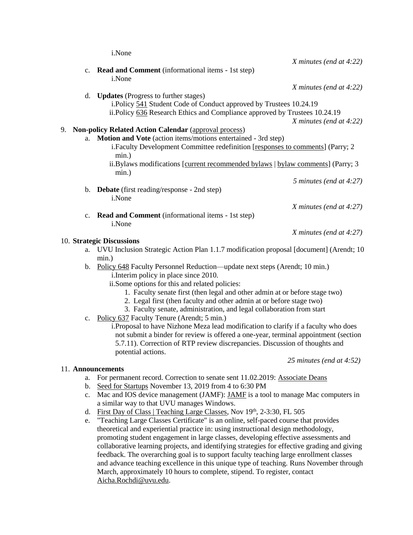i.None

|    |                |                                                                                        | $X$ minutes (end at 4:22)  |
|----|----------------|----------------------------------------------------------------------------------------|----------------------------|
|    | $\mathbf{c}$ . | <b>Read and Comment</b> (informational items - 1st step)                               |                            |
|    |                | i.None                                                                                 |                            |
|    |                |                                                                                        | $X$ minutes (end at 4:22)  |
|    | d.             | <b>Updates</b> (Progress to further stages)                                            |                            |
|    |                | i.Policy 541 Student Code of Conduct approved by Trustees 10.24.19                     |                            |
|    |                | ii.Policy 636 Research Ethics and Compliance approved by Trustees 10.24.19             |                            |
|    |                |                                                                                        | $X$ minutes (end at 4:22)  |
| 9. |                |                                                                                        |                            |
|    |                | <b>Non-policy Related Action Calendar (approval process)</b>                           |                            |
|    | a.             | Motion and Vote (action items/motions entertained - 3rd step)                          |                            |
|    |                | i. Faculty Development Committee redefinition [responses to comments] (Parry; 2        |                            |
|    |                | $min.$ )                                                                               |                            |
|    |                | ii.Bylaws modifications [current recommended bylaws   bylaw comments] (Parry; 3        |                            |
|    |                | min.)                                                                                  |                            |
|    |                |                                                                                        | 5 minutes (end at $4:27$ ) |
|    |                | b. Debate (first reading/response - 2nd step)                                          |                            |
|    |                | i.None                                                                                 |                            |
|    |                |                                                                                        | $X$ minutes (end at 4:27)  |
|    | c.             | Read and Comment (informational items - 1st step)                                      |                            |
|    |                | i.None                                                                                 |                            |
|    |                |                                                                                        | X minutes (end at 4:27)    |
|    |                | 10. Strategic Discussions                                                              |                            |
|    | a.             | UVU Inclusion Strategic Action Plan 1.1.7 modification proposal [document] (Arendt; 10 |                            |
|    |                | min.)                                                                                  |                            |
|    | $\mathbf b$ .  | Policy 648 Faculty Personnel Reduction—update next steps (Arendt; 10 min.)             |                            |
|    |                | i. Interim policy in place since 2010.                                                 |                            |
|    |                | ii.Some options for this and related policies:                                         |                            |
|    |                | 1. Faculty senate first (then legal and other admin at or before stage two)            |                            |
|    |                | 2. Legal first (then faculty and other admin at or before stage two)                   |                            |
|    |                | 3. Faculty senate, administration, and legal collaboration from start                  |                            |
|    | c.             | Policy 637 Faculty Tenure (Arendt; 5 min.)                                             |                            |
|    |                | i. Proposal to have Nizhone Meza lead modification to clarify if a faculty who does    |                            |
|    |                | not submit a binder for review is offered a one-year, terminal appointment (section    |                            |
|    |                | 5.7.11). Correction of RTP review discrepancies. Discussion of thoughts and            |                            |
|    |                | potential actions.                                                                     |                            |
|    |                |                                                                                        |                            |
|    |                |                                                                                        | 25 minutes (end at 4:52)   |

### 11. **Announcements**

- a. For permanent record. Correction to senate sent 11.02.2019: [Associate Deans](https://drive.google.com/open?id=1Ladm1dvLuDz2S-NPapbVVIGLqjhbbbsq)
- b. [Seed for Startups](https://www.eventbrite.com/e/fall-2019-seed-for-startups-tickets-68850556869) November 13, 2019 from 4 to 6:30 PM
- c. Mac and IOS device management (JAMF): [JAMF](https://www.uvu.edu/itservices/catalog/mac/jamf.html) is a tool to manage Mac computers in a similar way to that UVU manages Windows.
- d. [First Day of Class | Teaching Large Classes,](https://www.eventbrite.com/e/teaching-large-classes-the-first-day-of-class-tickets-67809298437) Nov  $19<sup>th</sup>$ , 2-3:30, FL 505
- e. "Teaching Large Classes Certificate" is an online, self-paced course that provides theoretical and experiential practice in: using instructional design methodology, promoting student engagement in large classes, developing effective assessments and collaborative learning projects, and identifying strategies for effective grading and giving feedback. The overarching goal is to support faculty teaching large enrollment classes and advance teaching excellence in this unique type of teaching. Runs November through March, approximately 10 hours to complete, stipend. To register, contact [Aicha.Rochdi@uvu.edu.](mailto:Aicha.Rochdi@uvu.edu)